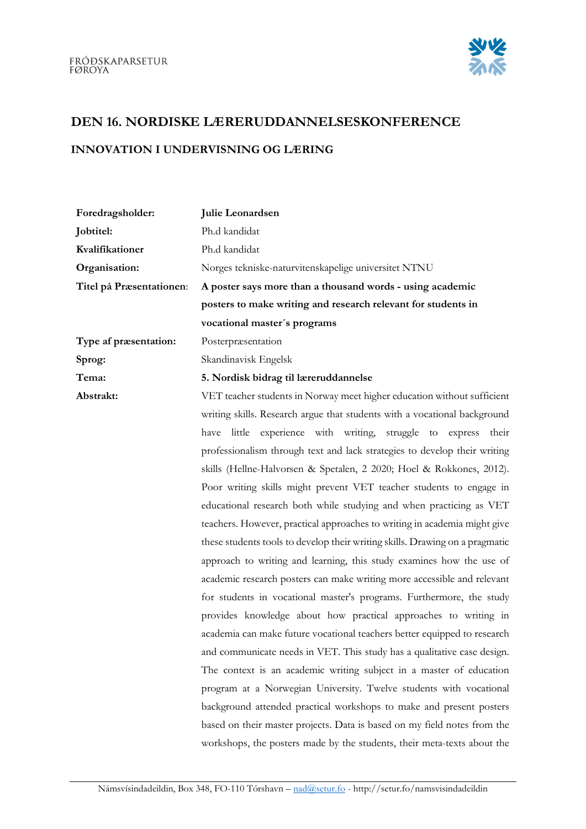

## DEN 16. NORDISKE LÆRERUDDANNELSESKONFERENCE

## INNOVATION I UNDERVISNING OG LÆRING

| Foredragsholder:         | Julie Leonardsen                                                             |
|--------------------------|------------------------------------------------------------------------------|
| Jobtitel:                | Ph.d kandidat                                                                |
| Kvalifikationer          | Ph.d kandidat                                                                |
| Organisation:            | Norges tekniske-naturvitenskapelige universitet NTNU                         |
| Titel på Præsentationen: | A poster says more than a thousand words - using academic                    |
|                          | posters to make writing and research relevant for students in                |
|                          | vocational master's programs                                                 |
| Type af præsentation:    | Posterpræsentation                                                           |
| Sprog:                   | Skandinavisk Engelsk                                                         |
| Tema:                    | 5. Nordisk bidrag til læreruddannelse                                        |
| Abstrakt:                | VET teacher students in Norway meet higher education without sufficient      |
|                          | writing skills. Research argue that students with a vocational background    |
|                          | have little experience with writing, struggle to express their               |
|                          | professionalism through text and lack strategies to develop their writing    |
|                          | skills (Hellne-Halvorsen & Spetalen, 2 2020; Hoel & Rokkones, 2012).         |
|                          | Poor writing skills might prevent VET teacher students to engage in          |
|                          | educational research both while studying and when practicing as VET          |
|                          | teachers. However, practical approaches to writing in academia might give    |
|                          | these students tools to develop their writing skills. Drawing on a pragmatic |
|                          | approach to writing and learning, this study examines how the use of         |
|                          | academic research posters can make writing more accessible and relevant      |
|                          | for students in vocational master's programs. Furthermore, the study         |
|                          | provides knowledge about how practical approaches to writing in              |
|                          | academia can make future vocational teachers better equipped to research     |
|                          | and communicate needs in VET. This study has a qualitative case design.      |
|                          | The context is an academic writing subject in a master of education          |
|                          | program at a Norwegian University. Twelve students with vocational           |
|                          | background attended practical workshops to make and present posters          |
|                          | based on their master projects. Data is based on my field notes from the     |
|                          | workshops, the posters made by the students, their meta-texts about the      |